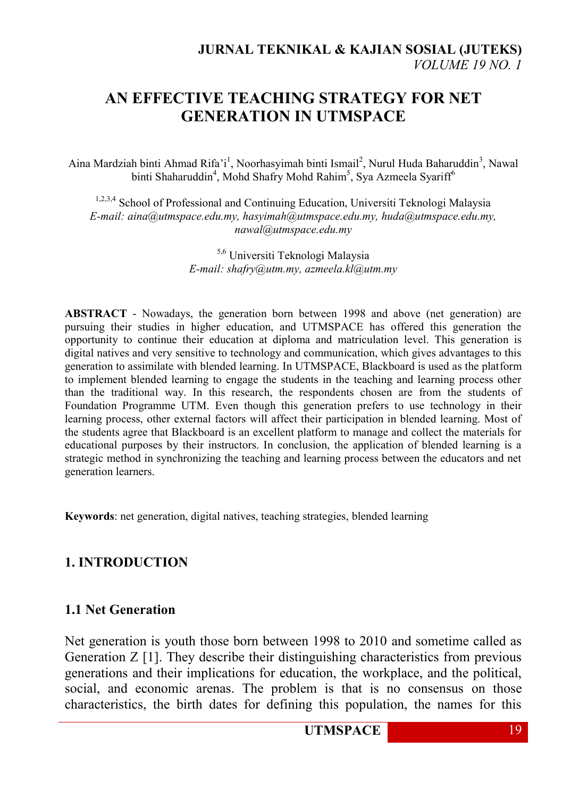# **AN EFFECTIVE TEACHING STRATEGY FOR NET GENERATION IN UTMSPACE**

Aina Mardziah binti Ahmad Rifa'i<sup>1</sup>, Noorhasyimah binti Ismail<sup>2</sup>, Nurul Huda Baharuddin<sup>3</sup>, Nawal binti Shaharuddin<sup>4</sup>, Mohd Shafry Mohd Rahim<sup>5</sup>, Sya Azmeela Syariff<sup>6</sup>

<sup>1,2,3,4</sup> School of Professional and Continuing Education, Universiti Teknologi Malaysia *E-mail: aina@utmspace.edu.my, hasyimah@utmspace.edu.my, huda@utmspace.edu.my, nawal@utmspace.edu.my*

> 5,6 Universiti Teknologi Malaysia *E-mail: shafry@utm.my, azmeela.kl@utm.my*

**ABSTRACT** - Nowadays, the generation born between 1998 and above (net generation) are pursuing their studies in higher education, and UTMSPACE has offered this generation the opportunity to continue their education at diploma and matriculation level. This generation is digital natives and very sensitive to technology and communication, which gives advantages to this generation to assimilate with blended learning. In UTMSPACE, Blackboard is used as the platform to implement blended learning to engage the students in the teaching and learning process other than the traditional way. In this research, the respondents chosen are from the students of Foundation Programme UTM. Even though this generation prefers to use technology in their learning process, other external factors will affect their participation in blended learning. Most of the students agree that Blackboard is an excellent platform to manage and collect the materials for educational purposes by their instructors. In conclusion, the application of blended learning is a strategic method in synchronizing the teaching and learning process between the educators and net generation learners.

**Keywords**: net generation, digital natives, teaching strategies, blended learning

#### **1. INTRODUCTION**

#### **1.1 Net Generation**

Net generation is youth those born between 1998 to 2010 and sometime called as Generation  $Z$  [1]. They describe their distinguishing characteristics from previous generations and their implications for education, the workplace, and the political, social, and economic arenas. The problem is that is no consensus on those characteristics, the birth dates for defining this population, the names for this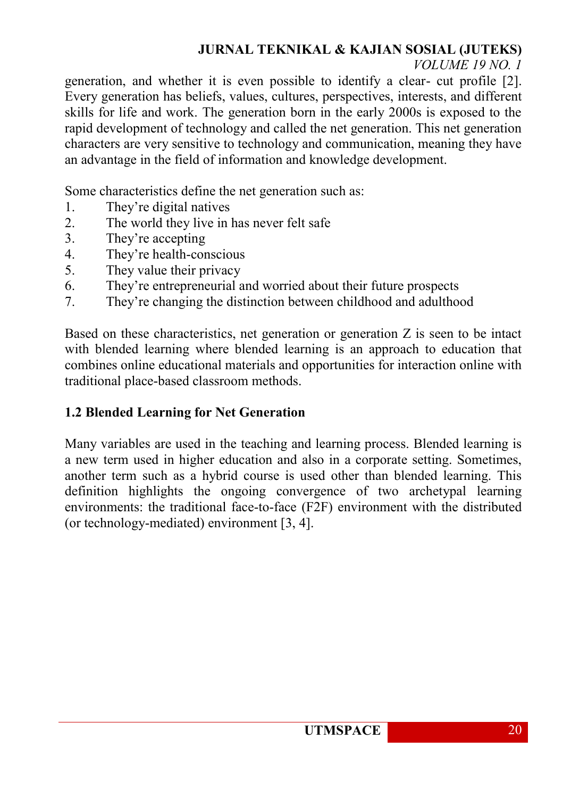# **JURNAL TEKNIKAL & KAJIAN SOSIAL (JUTEKS)**

#### *VOLUME 19 NO. 1*

generation, and whether it is even possible to identify a clear- cut profile [2]. Every generation has beliefs, values, cultures, perspectives, interests, and different skills for life and work. The generation born in the early 2000s is exposed to the rapid development of technology and called the net generation. This net generation characters are very sensitive to technology and communication, meaning they have an advantage in the field of information and knowledge development.

Some characteristics define the net generation such as:

- 1. They're digital natives
- 2. The world they live in has never felt safe
- 3. They're accepting
- 4. They're health-conscious
- 5. They value their privacy
- 6. They're entrepreneurial and worried about their future prospects
- 7. They're changing the distinction between childhood and adulthood

Based on these characteristics, net generation or generation Z is seen to be intact with blended learning where blended learning is an approach to education that combines online educational materials and opportunities for interaction online with traditional place-based classroom methods.

### **1.2 Blended Learning for Net Generation**

Many variables are used in the teaching and learning process. Blended learning is a new term used in higher education and also in a corporate setting. Sometimes, another term such as a hybrid course is used other than blended learning. This definition highlights the ongoing convergence of two archetypal learning environments: the traditional face-to-face (F2F) environment with the distributed (or technology-mediated) environment [3, 4].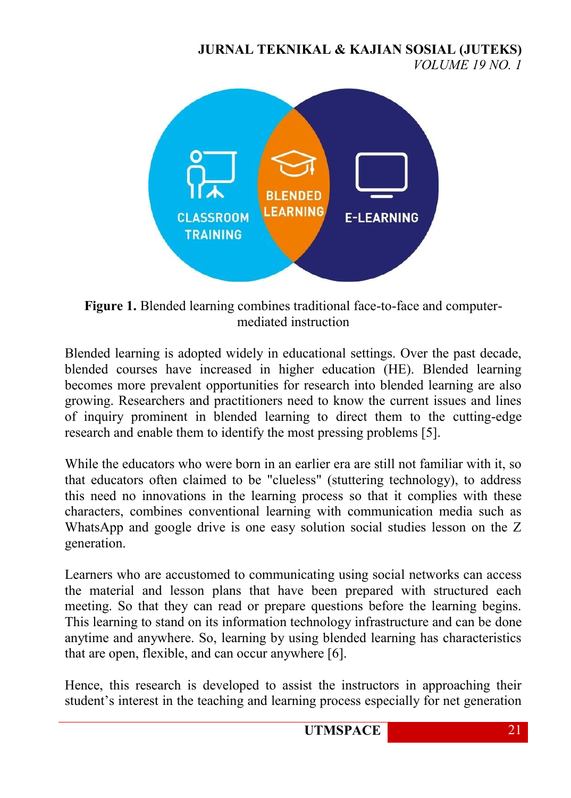**JURNAL TEKNIKAL & KAJIAN SOSIAL (JUTEKS)** *VOLUME 19 NO. 1*



**Figure 1.** Blended learning combines traditional face-to-face and computermediated instruction

Blended learning is adopted widely in educational settings. Over the past decade, blended courses have increased in higher education (HE). Blended learning becomes more prevalent opportunities for research into blended learning are also growing. Researchers and practitioners need to know the current issues and lines of inquiry prominent in blended learning to direct them to the cutting-edge research and enable them to identify the most pressing problems [5].

While the educators who were born in an earlier era are still not familiar with it, so that educators often claimed to be "clueless" (stuttering technology), to address this need no innovations in the learning process so that it complies with these characters, combines conventional learning with communication media such as WhatsApp and google drive is one easy solution social studies lesson on the Z generation.

Learners who are accustomed to communicating using social networks can access the material and lesson plans that have been prepared with structured each meeting. So that they can read or prepare questions before the learning begins. This learning to stand on its information technology infrastructure and can be done anytime and anywhere. So, learning by using blended learning has characteristics that are open, flexible, and can occur anywhere [6].

Hence, this research is developed to assist the instructors in approaching their student's interest in the teaching and learning process especially for net generation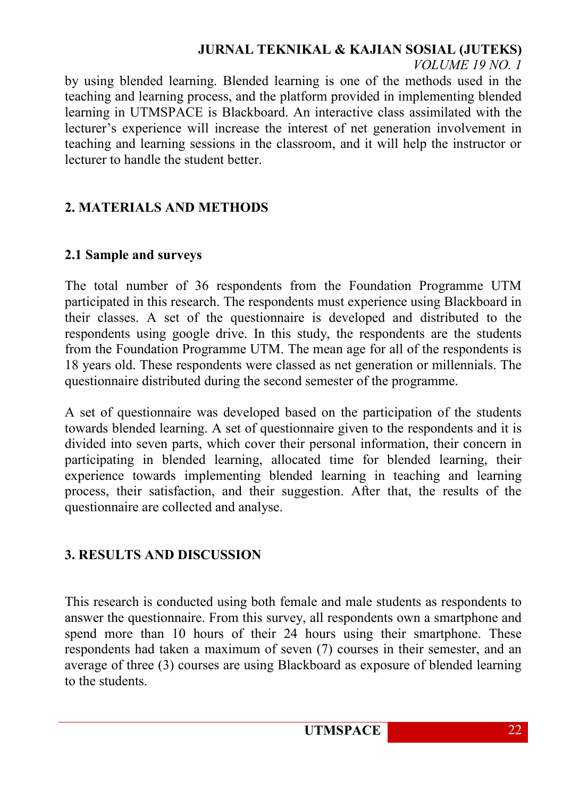# **JURNAL TEKNIKAL & KAJIAN SOSIAL (JUTEKS)**

#### *VOLUME 19 NO. 1*

by using blended learning. Blended learning is one of the methods used in the teaching and learning process, and the platform provided in implementing blended learning in UTMSPACE is Blackboard. An interactive class assimilated with the lecturer's experience will increase the interest of net generation involvement in teaching and learning sessions in the classroom, and it will help the instructor or lecturer to handle the student better.

### **2. MATERIALS AND METHODS**

#### **2.1 Sample and surveys**

The total number of 36 respondents from the Foundation Programme UTM participated in this research. The respondents must experience using Blackboard in their classes. A set of the questionnaire is developed and distributed to the respondents using google drive. In this study, the respondents are the students from the Foundation Programme UTM. The mean age for all of the respondents is 18 years old. These respondents were classed as net generation or millennials. The questionnaire distributed during the second semester of the programme.

A set of questionnaire was developed based on the participation of the students towards blended learning. A set of questionnaire given to the respondents and it is divided into seven parts, which cover their personal information, their concern in participating in blended learning, allocated time for blended learning, their experience towards implementing blended learning in teaching and learning process, their satisfaction, and their suggestion. After that, the results of the questionnaire are collected and analyse.

### **3. RESULTS AND DISCUSSION**

This research is conducted using both female and male students as respondents to answer the questionnaire. From this survey, all respondents own a smartphone and spend more than 10 hours of their 24 hours using their smartphone. These respondents had taken a maximum of seven (7) courses in their semester, and an average of three (3) courses are using Blackboard as exposure of blended learning to the students.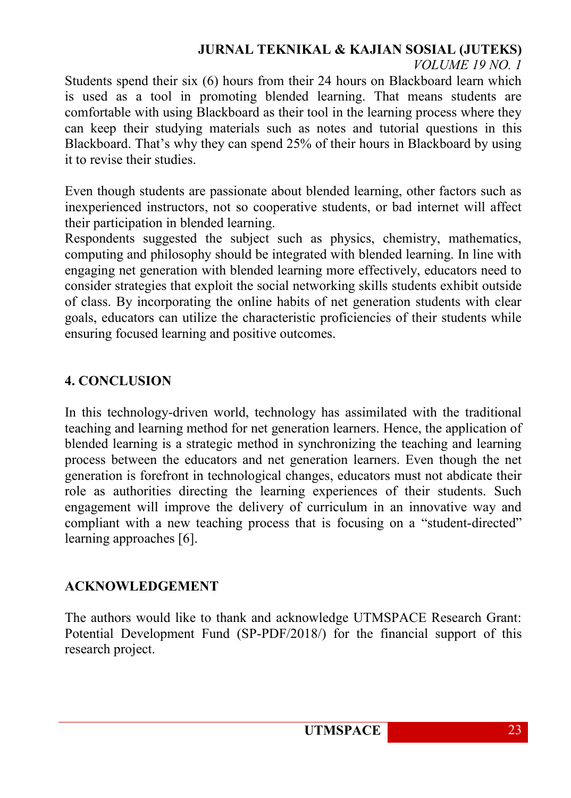#### **JURNAL TEKNIKAL & KAJIAN SOSIAL (JUTEKS)** *VOLUME 19 NO. 1*

Students spend their six (6) hours from their 24 hours on Blackboard learn which is used as a tool in promoting blended learning. That means students are comfortable with using Blackboard as their tool in the learning process where they can keep their studying materials such as notes and tutorial questions in this Blackboard. That's why they can spend 25% of their hours in Blackboard by using it to revise their studies.

Even though students are passionate about blended learning, other factors such as inexperienced instructors, not so cooperative students, or bad internet will affect their participation in blended learning.

Respondents suggested the subject such as physics, chemistry, mathematics, computing and philosophy should be integrated with blended learning. In line with engaging net generation with blended learning more effectively, educators need to consider strategies that exploit the social networking skills students exhibit outside of class. By incorporating the online habits of net generation students with clear goals, educators can utilize the characteristic proficiencies of their students while ensuring focused learning and positive outcomes.

## **4. CONCLUSION**

In this technology-driven world, technology has assimilated with the traditional teaching and learning method for net generation learners. Hence, the application of blended learning is a strategic method in synchronizing the teaching and learning process between the educators and net generation learners. Even though the net generation is forefront in technological changes, educators must not abdicate their role as authorities directing the learning experiences of their students. Such engagement will improve the delivery of curriculum in an innovative way and compliant with a new teaching process that is focusing on a "student-directed" learning approaches [6].

### **ACKNOWLEDGEMENT**

The authors would like to thank and acknowledge UTMSPACE Research Grant: Potential Development Fund (SP-PDF/2018/) for the financial support of this research project.